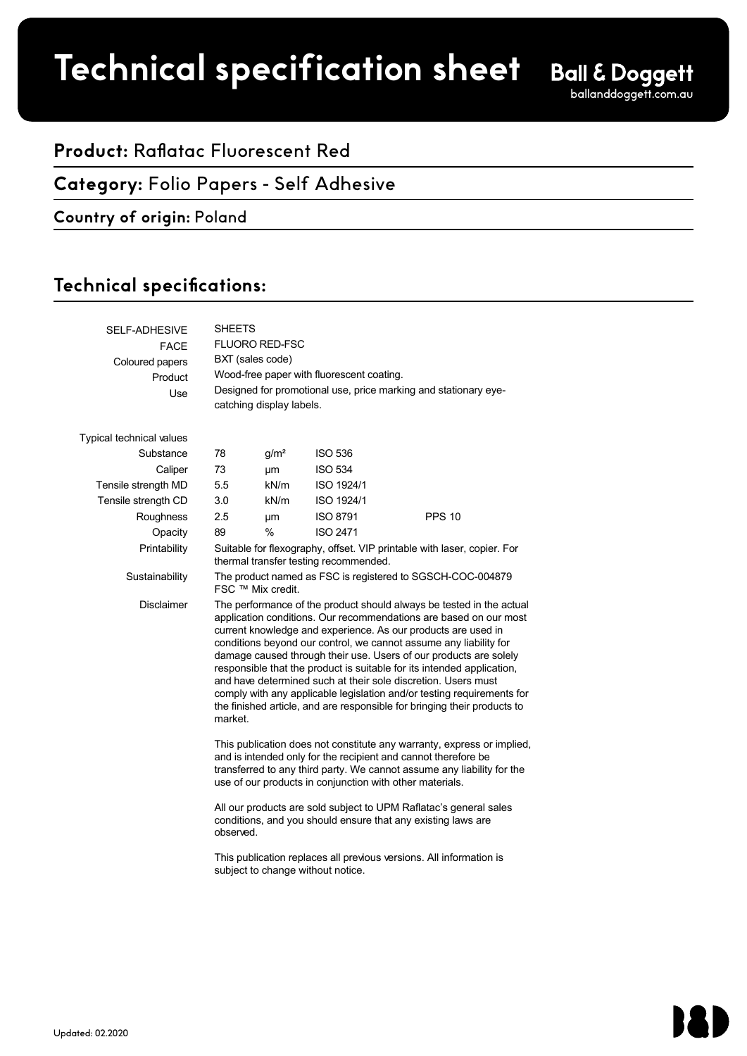# **Product spec sheet Technical specification sheet**

## **Product:** Raflatac Fluorescent Red

## **Category:** Folio Papers - Self Adhesive

#### **Country of origin:** Poland

## Technical specifications:

| <b>SELF-ADHESIVE</b><br><b>FACE</b><br>Coloured papers<br>Product<br>Use | <b>SHEETS</b><br><b>FLUORO RED-FSC</b><br>BXT (sales code)<br>Wood-free paper with fluorescent coating.<br>Designed for promotional use, price marking and stationary eye-<br>catching display labels.                                                                                                                                                                                                                                                                                                                                                                                                                                                           |                  |                 |               |  |  |
|--------------------------------------------------------------------------|------------------------------------------------------------------------------------------------------------------------------------------------------------------------------------------------------------------------------------------------------------------------------------------------------------------------------------------------------------------------------------------------------------------------------------------------------------------------------------------------------------------------------------------------------------------------------------------------------------------------------------------------------------------|------------------|-----------------|---------------|--|--|
| Typical technical values                                                 |                                                                                                                                                                                                                                                                                                                                                                                                                                                                                                                                                                                                                                                                  |                  |                 |               |  |  |
| Substance                                                                | 78                                                                                                                                                                                                                                                                                                                                                                                                                                                                                                                                                                                                                                                               | q/m <sup>2</sup> | <b>ISO 536</b>  |               |  |  |
| Caliper                                                                  | 73                                                                                                                                                                                                                                                                                                                                                                                                                                                                                                                                                                                                                                                               | μm               | <b>ISO 534</b>  |               |  |  |
| Tensile strength MD                                                      | 5.5                                                                                                                                                                                                                                                                                                                                                                                                                                                                                                                                                                                                                                                              | kN/m             | ISO 1924/1      |               |  |  |
| Tensile strength CD                                                      | 3.0                                                                                                                                                                                                                                                                                                                                                                                                                                                                                                                                                                                                                                                              | kN/m             | ISO 1924/1      |               |  |  |
| Roughness                                                                | 2.5                                                                                                                                                                                                                                                                                                                                                                                                                                                                                                                                                                                                                                                              | μm               | <b>ISO 8791</b> | <b>PPS 10</b> |  |  |
| Opacity                                                                  | 89                                                                                                                                                                                                                                                                                                                                                                                                                                                                                                                                                                                                                                                               | $\frac{0}{0}$    | <b>ISO 2471</b> |               |  |  |
| Printability                                                             | Suitable for flexography, offset. VIP printable with laser, copier. For<br>thermal transfer testing recommended.                                                                                                                                                                                                                                                                                                                                                                                                                                                                                                                                                 |                  |                 |               |  |  |
| Sustainability                                                           | The product named as FSC is registered to SGSCH-COC-004879<br>FSC ™ Mix credit.                                                                                                                                                                                                                                                                                                                                                                                                                                                                                                                                                                                  |                  |                 |               |  |  |
| Disclaimer                                                               | The performance of the product should always be tested in the actual<br>application conditions. Our recommendations are based on our most<br>current knowledge and experience. As our products are used in<br>conditions beyond our control, we cannot assume any liability for<br>damage caused through their use. Users of our products are solely<br>responsible that the product is suitable for its intended application,<br>and have determined such at their sole discretion. Users must<br>comply with any applicable legislation and/or testing requirements for<br>the finished article, and are responsible for bringing their products to<br>market. |                  |                 |               |  |  |
|                                                                          | This publication does not constitute any warranty, express or implied,<br>and is intended only for the recipient and cannot therefore be<br>transferred to any third party. We cannot assume any liability for the<br>use of our products in conjunction with other materials.                                                                                                                                                                                                                                                                                                                                                                                   |                  |                 |               |  |  |
|                                                                          | All our products are sold subject to UPM Raflatac's general sales<br>conditions, and you should ensure that any existing laws are<br>observed.                                                                                                                                                                                                                                                                                                                                                                                                                                                                                                                   |                  |                 |               |  |  |
|                                                                          | This publication replaces all previous versions. All information is<br>subject to change without notice.                                                                                                                                                                                                                                                                                                                                                                                                                                                                                                                                                         |                  |                 |               |  |  |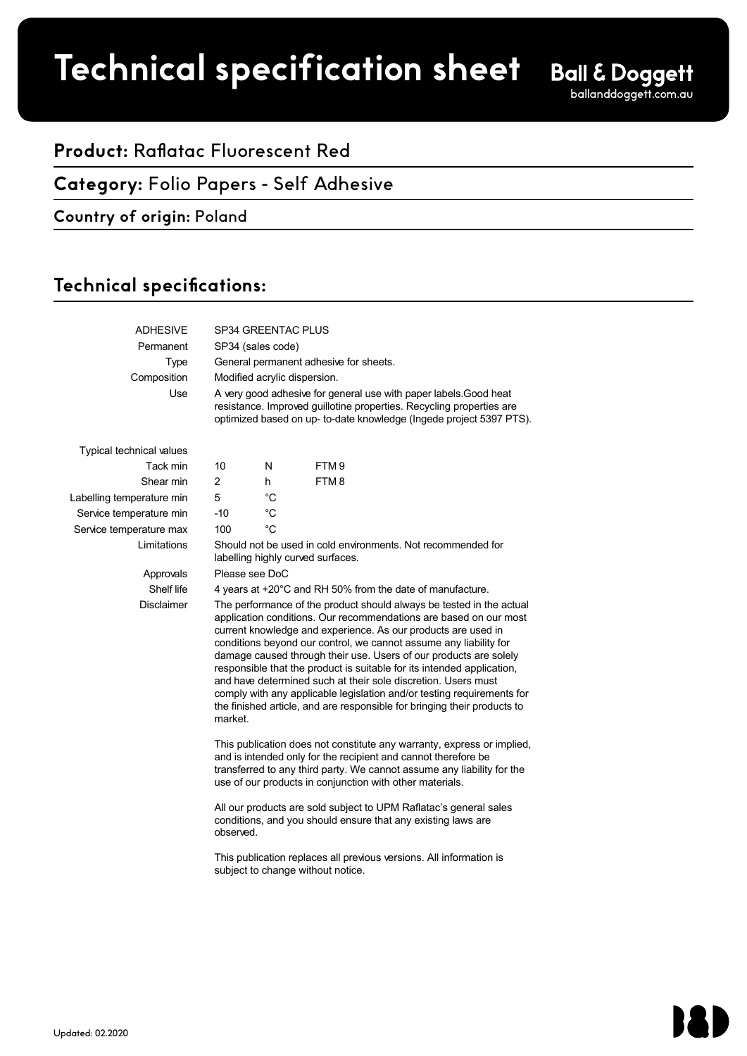# **Product spec sheet Technical specification sheet**

# **Product:** Raflatac Fluorescent Red

## **Category:** Folio Papers - Self Adhesive

#### **Country of origin:** Poland

## Technical specifications:

| <b>ADHESIVE</b>           | SP34 GREENTAC PLUS                                                                                                                                                                                                                                                             |                                                                                                                                                                                                                                                                                                                                                                                                                                                                                                                                                                                                                                                                  |                  |  |  |  |
|---------------------------|--------------------------------------------------------------------------------------------------------------------------------------------------------------------------------------------------------------------------------------------------------------------------------|------------------------------------------------------------------------------------------------------------------------------------------------------------------------------------------------------------------------------------------------------------------------------------------------------------------------------------------------------------------------------------------------------------------------------------------------------------------------------------------------------------------------------------------------------------------------------------------------------------------------------------------------------------------|------------------|--|--|--|
| Permanent                 | SP34 (sales code)                                                                                                                                                                                                                                                              |                                                                                                                                                                                                                                                                                                                                                                                                                                                                                                                                                                                                                                                                  |                  |  |  |  |
| Type                      | General permanent adhesive for sheets.                                                                                                                                                                                                                                         |                                                                                                                                                                                                                                                                                                                                                                                                                                                                                                                                                                                                                                                                  |                  |  |  |  |
| Composition               | Modified acrylic dispersion.<br>A very good adhesive for general use with paper labels. Good heat<br>resistance. Improved guillotine properties. Recycling properties are<br>optimized based on up- to-date knowledge (Ingede project 5397 PTS).                               |                                                                                                                                                                                                                                                                                                                                                                                                                                                                                                                                                                                                                                                                  |                  |  |  |  |
| Use                       |                                                                                                                                                                                                                                                                                |                                                                                                                                                                                                                                                                                                                                                                                                                                                                                                                                                                                                                                                                  |                  |  |  |  |
| Typical technical values  |                                                                                                                                                                                                                                                                                |                                                                                                                                                                                                                                                                                                                                                                                                                                                                                                                                                                                                                                                                  |                  |  |  |  |
| Tack min                  | 10                                                                                                                                                                                                                                                                             | N                                                                                                                                                                                                                                                                                                                                                                                                                                                                                                                                                                                                                                                                | FTM <sub>9</sub> |  |  |  |
| Shear min                 | $\overline{2}$                                                                                                                                                                                                                                                                 | h                                                                                                                                                                                                                                                                                                                                                                                                                                                                                                                                                                                                                                                                | FTM8             |  |  |  |
| Labelling temperature min | 5                                                                                                                                                                                                                                                                              | °C                                                                                                                                                                                                                                                                                                                                                                                                                                                                                                                                                                                                                                                               |                  |  |  |  |
| Service temperature min   | $-10$                                                                                                                                                                                                                                                                          | °C                                                                                                                                                                                                                                                                                                                                                                                                                                                                                                                                                                                                                                                               |                  |  |  |  |
| Service temperature max   | 100                                                                                                                                                                                                                                                                            | °C                                                                                                                                                                                                                                                                                                                                                                                                                                                                                                                                                                                                                                                               |                  |  |  |  |
| Limitations               | Should not be used in cold environments. Not recommended for<br>labelling highly curved surfaces.                                                                                                                                                                              |                                                                                                                                                                                                                                                                                                                                                                                                                                                                                                                                                                                                                                                                  |                  |  |  |  |
| Approvals                 | Please see DoC                                                                                                                                                                                                                                                                 |                                                                                                                                                                                                                                                                                                                                                                                                                                                                                                                                                                                                                                                                  |                  |  |  |  |
| Shelf life                | 4 years at +20°C and RH 50% from the date of manufacture.                                                                                                                                                                                                                      |                                                                                                                                                                                                                                                                                                                                                                                                                                                                                                                                                                                                                                                                  |                  |  |  |  |
| <b>Disclaimer</b>         |                                                                                                                                                                                                                                                                                | The performance of the product should always be tested in the actual<br>application conditions. Our recommendations are based on our most<br>current knowledge and experience. As our products are used in<br>conditions beyond our control, we cannot assume any liability for<br>damage caused through their use. Users of our products are solely<br>responsible that the product is suitable for its intended application,<br>and have determined such at their sole discretion. Users must<br>comply with any applicable legislation and/or testing requirements for<br>the finished article, and are responsible for bringing their products to<br>market. |                  |  |  |  |
|                           | This publication does not constitute any warranty, express or implied,<br>and is intended only for the recipient and cannot therefore be<br>transferred to any third party. We cannot assume any liability for the<br>use of our products in conjunction with other materials. |                                                                                                                                                                                                                                                                                                                                                                                                                                                                                                                                                                                                                                                                  |                  |  |  |  |
|                           | All our products are sold subject to UPM Raflatac's general sales<br>conditions, and you should ensure that any existing laws are<br>observed.                                                                                                                                 |                                                                                                                                                                                                                                                                                                                                                                                                                                                                                                                                                                                                                                                                  |                  |  |  |  |
|                           | This publication replaces all previous versions. All information is<br>subject to change without notice.                                                                                                                                                                       |                                                                                                                                                                                                                                                                                                                                                                                                                                                                                                                                                                                                                                                                  |                  |  |  |  |